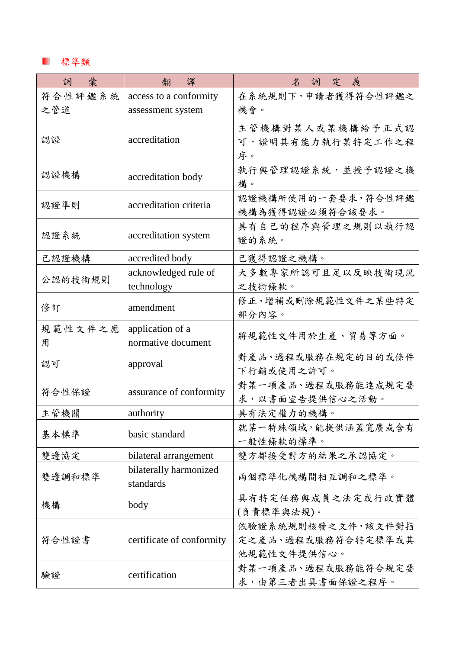## 標準類

| 詞<br>彙       | 譯<br>翻                                 | 詞定義<br>$\mathcal{Z}$                                    |
|--------------|----------------------------------------|---------------------------------------------------------|
| 符合性評鑑系統      | access to a conformity                 | 在系統規則下,申請者獲得符合性評鑑之                                      |
| 之管道          | assessment system                      | 機會。                                                     |
| 認證           | accreditation                          | 主管機構對某人或某機構給予正式認<br>可,證明其有能力執行某特定工作之程<br>序。             |
| 認證機構         | accreditation body                     | 執行與管理認證系統,並授予認證之機<br>構。                                 |
| 認證準則         | accreditation criteria                 | 認證機構所使用的一套要求, 符合性評鑑<br>機構為獲得認證必須符合該要求。                  |
| 認證系統         | accreditation system                   | 具有自己的程序與管理之規則以執行認<br>證的系統。                              |
| 已認證機構        | accredited body                        | 已獲得認證之機構。                                               |
| 公認的技術規則      | acknowledged rule of<br>technology     | 大多數專家所認可且足以反映技術現況<br>之技術條款。                             |
| 修訂           | amendment                              | 修正、增補或刪除規範性文件之某些特定<br>部分內容。                             |
| 規範性文件之應<br>用 | application of a<br>normative document | 將規範性文件用於生產、貿易等方面。                                       |
| 認可           | approval                               | 對產品、過程或服務在規定的目的或條件<br>下行銷或使用之許可。                        |
| 符合性保證        | assurance of conformity                | 對某一項產品、過程或服務能達成規定要<br>求,以書面宣告提供信心之活動。                   |
| 主管機關         | authority                              | 具有法定權力的機構。                                              |
| 基本標準         | basic standard                         | 就某一特殊領域,能提供涵蓋寬廣或含有<br>一般性條款的標準。                         |
| 雙邊協定         | bilateral arrangement                  | 雙方都接受對方的結果之承認協定。                                        |
| 雙邊調和標準       | bilaterally harmonized<br>standards    | 兩個標準化機構間相互調和之標準。                                        |
| 機構           | body                                   | 具有特定任務與成員之法定或行政實體<br>(負責標準與法規)。                         |
| 符合性證書        | certificate of conformity              | 依驗證系統規則核發之文件,該文件對指<br>定之產品、過程或服務符合特定標準或其<br>他規範性文件提供信心。 |
| 驗證           | certification                          | 對某一項產品、過程或服務能符合規定要<br>求,由第三者出具書面保證之程序。                  |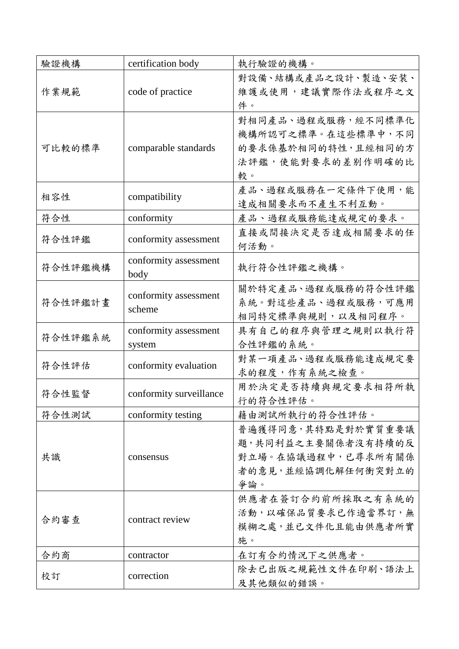| 驗證機構    | certification body      | 執行驗證的機構。                 |
|---------|-------------------------|--------------------------|
|         |                         | 對設備、結構或產品之設計、製造、安装、      |
| 作業規範    | code of practice        | 維護或使用,建議實際作法或程序之文<br>件。  |
|         |                         | 對相同產品、過程或服務,經不同標準化       |
|         |                         | 機構所認可之標準。在這些標準中,不同       |
| 可比較的標準  | comparable standards    | 的要求係基於相同的特性,且經相同的方       |
|         |                         | 法評鑑,使能對要求的差别作明確的比        |
|         |                         | 較。                       |
| 相容性     | compatibility           | 產品、過程或服務在一定條件下使用,能       |
|         |                         | 達成相關要求而不產生不利互動。          |
| 符合性     | conformity              | 產品、過程或服務能達成規定的要求。        |
| 符合性評鑑   | conformity assessment   | 直接或間接決定是否達成相關要求的任        |
|         |                         | 何活動。                     |
| 符合性評鑑機構 | conformity assessment   | 執行符合性評鑑之機構。              |
|         | body                    |                          |
|         | conformity assessment   | 關於特定產品、過程或服務的符合性評鑑       |
| 符合性評鑑計畫 | scheme                  | 系統。對這些產品、過程或服務,可應用       |
|         |                         | 相同特定標準與規則,以及相同程序。        |
| 符合性評鑑系統 | conformity assessment   | 具有自己的程序與管理之規則以執行符        |
|         | system                  | 合性評鑑的系統。                 |
| 符合性評估   | conformity evaluation   | 對某一項產品、過程或服務能達成規定要       |
|         |                         | 求的程度,作有系統之檢查。            |
| 符合性監督   | conformity surveillance | 用於決定是否持續與規定要求相符所執        |
|         |                         | 行的符合性評估。                 |
| 符合性測試   | conformity testing      | 藉由測試所執行的符合性評估。           |
|         | consensus               | 普遍獲得同意,其特點是對於實質重要議       |
|         |                         | 題,共同利益之主要關係者沒有持續的反       |
| 共識      |                         | 對立場。在協議過程中,已尋求所有關係       |
|         |                         | 者的意見,並經協調化解任何衝突對立的       |
|         |                         | 爭論。                      |
| 合約審查    |                         | 供應者在簽訂合約前所採取之有系統的        |
|         | contract review         | 活動,以確保品質要求已作適當界訂,無       |
|         |                         | 模糊之處,並已文件化且能由供應者所實<br>施。 |
|         |                         |                          |
| 合約商     | contractor              | 在訂有合約情況下之供應者。            |
| 校訂      | correction              | 除去已出版之規範性文件在印刷、語法上       |
|         |                         | 及其他類似的錯誤。                |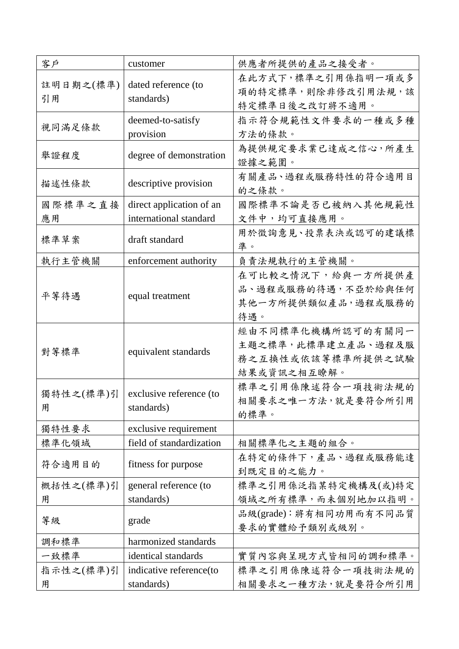| 客戶        | customer                 | 供應者所提供的產品之接受者。               |
|-----------|--------------------------|------------------------------|
| 註明日期之(標準) | dated reference (to      | 在此方式下, 標準之引用係指明一項或多          |
| 引用        | standards)               | 項的特定標準,則除非修改引用法規,該           |
|           |                          | 特定標準日後之改訂將不適用。               |
| 視同滿足條款    | deemed-to-satisfy        | 指示符合規範性文件要求的一種或多種            |
|           | provision                | 方法的條款。                       |
| 舉證程度      | degree of demonstration  | 為提供規定要求業已達成之信心,所產生<br>證據之範圍。 |
| 描述性條款     | descriptive provision    | 有關產品、過程或服務特性的符合適用目           |
|           |                          | 的之條款。                        |
| 國際標準之直接   | direct application of an | 國際標準不論是否已被納入其他規範性            |
| 應用        | international standard   | 文件中,均可直接應用。                  |
| 標準草案      | draft standard           | 用於徵詢意見、投票表決或認可的建議標           |
|           |                          | 準。                           |
| 執行主管機關    | enforcement authority    | 負責法規執行的主管機關。                 |
|           |                          | 在可比較之情況下,給與一方所提供產            |
| 平等待遇      | equal treatment          | 品、過程或服務的待遇,不亞於給與任何           |
|           |                          | 其他一方所提供類似產品, 過程或服務的          |
|           |                          | 待遇。                          |
|           | equivalent standards     | 經由不同標準化機構所認可的有關同一            |
| 對等標準      |                          | 主題之標準,此標準建立產品、過程及服           |
|           |                          | 務之互換性或依該等標準所提供之試驗            |
|           |                          | 結果或資訊之相互瞭解。                  |
| 獨特性之(標準)引 | exclusive reference (to  | 標準之引用係陳述符合一項技術法規的            |
| 用         | standards)               | 相關要求之唯一方法,就是要符合所引用           |
|           |                          | 的標準。                         |
| 獨特性要求     | exclusive requirement    |                              |
| 標準化領域     | field of standardization | 相關標準化之主題的組合。                 |
| 符合適用目的    | fitness for purpose      | 在特定的條件下,產品、過程或服務能達           |
|           |                          | 到既定目的之能力。                    |
| 概括性之(標準)引 | general reference (to    | 標準之引用係泛指某特定機構及(或)特定          |
| 用         | standards)               | 領域之所有標準,而未個別地加以指明。           |
| 等級        | grade                    | 品級(grade):將有相同功用而有不同品質       |
|           |                          | 要求的實體給予類別或級別。                |
| 調和標準      | harmonized standards     |                              |
| 一致標準      | identical standards      | 實質內容與呈現方式皆相同的調和標準。           |
| 指示性之(標準)引 | indicative reference(to  | 標準之引用係陳述符合一項技術法規的            |
| 用         | standards)               | 相關要求之一種方法, 就是要符合所引用          |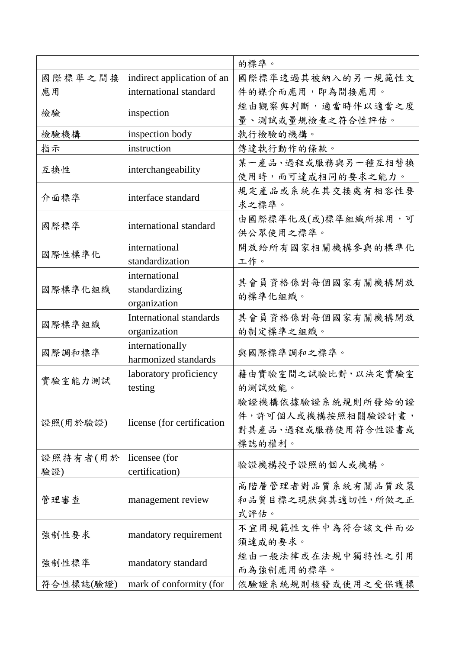|           |                            | 的標準。                       |
|-----------|----------------------------|----------------------------|
| 國際標準之間接   | indirect application of an | 國際標準透過其被納入的另一規範性文          |
| 應用        | international standard     | 件的媒介而應用,即為間接應用。            |
| 檢驗        | inspection                 | 經由觀察與判斷,適當時伴以適當之度          |
|           |                            | 量、測試或量規檢查之符合性評估。           |
| 檢驗機構      | inspection body            | 執行檢驗的機構。                   |
| 指示        | instruction                | 傳達執行動作的條款。                 |
|           |                            | 某一產品、過程或服務與另一種互相替換         |
| 互换性       | interchangeability         | 使用時,而可達成相同的要求之能力。          |
| 介面標準      | interface standard         | 規定產品或系統在其交接處有相容性要<br>求之標準。 |
|           |                            | 由國際標準化及(或)標準組織所採用,可        |
| 國際標準      | international standard     | 供公眾使用之標準。                  |
|           | international              | 開放給所有國家相關機構參與的標準化          |
| 國際性標準化    | standardization            | 工作。                        |
|           | international              |                            |
| 國際標準化組織   | standardizing              | 其會員資格係對每個國家有關機構開放          |
|           | organization               | 的標準化組織。                    |
|           | International standards    | 其會員資格係對每個國家有關機構開放          |
| 國際標準組織    | organization               | 的制定標準之組織。                  |
| 國際調和標準    | internationally            | 與國際標準調和之標準。                |
|           | harmonized standards       |                            |
| 實驗室能力測試   | laboratory proficiency     | 藉由實驗室間之試驗比對,以決定實驗室         |
|           | testing                    | 的測試效能。                     |
|           | license (for certification | 驗證機構依據驗證系統規則所發給的證          |
| 證照(用於驗證)  |                            | 件,許可個人或機構按照相關驗證計畫,         |
|           |                            | 對其產品、過程或服務使用符合性證書或         |
|           |                            | 標誌的權利。                     |
| 證照持有者(用於  | licensee (for              | 驗證機構授予證照的個人或機構。            |
| 驗證)       | certification)             |                            |
| 管理審查      | management review          | 高階層管理者對品質系統有關品質政策          |
|           |                            | 和品質目標之現狀與其適切性,所做之正         |
|           |                            | 式評估。                       |
| 強制性要求     | mandatory requirement      | 不宜用規範性文件中為符合該文件而必          |
|           |                            | 須達成的要求。                    |
| 強制性標準     | mandatory standard         | 經由一般法律或在法規中獨特性之引用          |
|           |                            | 而為強制應用的標準。                 |
| 符合性標誌(驗證) | mark of conformity (for    | 依驗證系統規則核發或使用之受保護標          |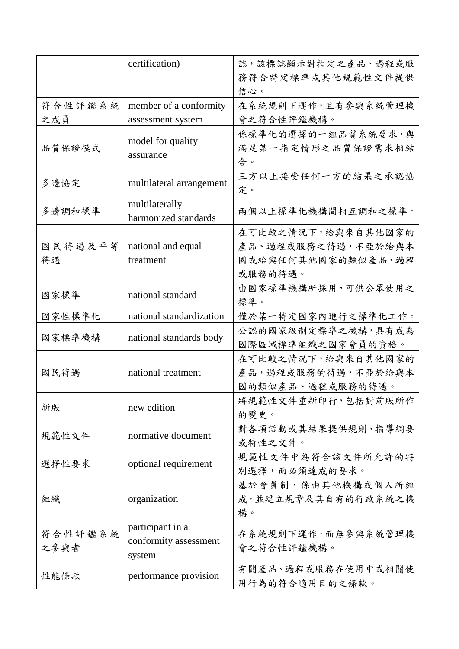|                 | certification)                                      | 誌,該標誌顯示對指定之產品、過程或服<br>務符合特定標準或其他規範性文件提供<br>信心。                             |
|-----------------|-----------------------------------------------------|----------------------------------------------------------------------------|
| 符合性評鑑系統<br>之成員  | member of a conformity<br>assessment system         | 在系統規則下運作,且有參與系統管理機<br>會之符合性評鑑機構。                                           |
| 品質保證模式          | model for quality<br>assurance                      | 係標準化的選擇的一組品質系統要求,與<br>满足某一指定情形之品質保證需求相結<br>合。                              |
| 多邊協定            | multilateral arrangement                            | 三方以上接受任何一方的結果之承認協<br>定。                                                    |
| 多邊調和標準          | multilaterally<br>harmonized standards              | 兩個以上標準化機構間相互調和之標準。                                                         |
| 國民待遇及平等<br>待遇   | national and equal<br>treatment                     | 在可比較之情況下,給與來自其他國家的<br>產品、過程或服務之待遇,不亞於給與本<br>國或給與任何其他國家的類似產品, 過程<br>或服務的待遇。 |
| 國家標準            | national standard                                   | 由國家標準機構所採用,可供公眾使用之<br>標準。                                                  |
| 國家性標準化          | national standardization                            | 僅於某一特定國家內進行之標準化工作。                                                         |
| 國家標準機構          | national standards body                             | 公認的國家級制定標準之機構,具有成為<br>國際區域標準組織之國家會員的資格。                                    |
| 國民待遇            | national treatment                                  | 在可比較之情況下,給與來自其他國家的<br>產品, 過程或服務的待遇, 不亞於給與本<br>國的類似產品、過程或服務的待遇。             |
| 新版              | new edition                                         | 將規範性文件重新印行,包括對前版所作<br>的變更。                                                 |
| 規範性文件           | normative document                                  | 對各項活動或其結果提供規則、指導綱要<br>或特性之文件。                                              |
| 選擇性要求           | optional requirement                                | 規範性文件中為符合該文件所允許的特<br>別選擇,而必須達成的要求。                                         |
| 組織              | organization                                        | 基於會員制,係由其他機構或個人所組<br>成,並建立規章及其自有的行政系統之機<br>構。                              |
| 符合性評鑑系統<br>之參與者 | participant in a<br>conformity assessment<br>system | 在系統規則下運作,而無參與系統管理機<br>會之符合性評鑑機構。                                           |
| 性能條款            | performance provision                               | 有關產品、過程或服務在使用中或相關使<br>用行為的符合適用目的之條款。                                       |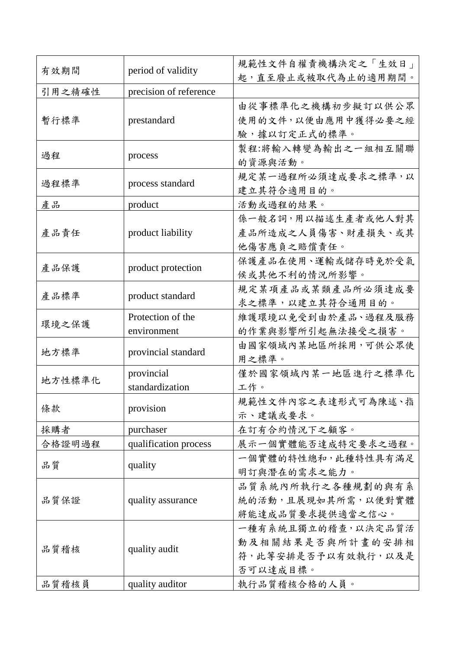| 有效期間   | period of validity     | 規範性文件自權責機構決定之「生效日」 |
|--------|------------------------|--------------------|
|        |                        | 起,直至廢止或被取代為止的適用期間。 |
| 引用之精確性 | precision of reference |                    |
|        |                        | 由從事標準化之機構初步擬訂以供公眾  |
| 暫行標準   | prestandard            | 使用的文件,以便由應用中獲得必要之經 |
|        |                        | 驗,據以訂定正式的標準。       |
| 過程     |                        | 製程:將輸入轉變為輸出之一組相互關聯 |
|        | process                | 的資源與活動。            |
| 過程標準   | process standard       | 規定某一過程所必須達成要求之標準,以 |
|        |                        | 建立其符合適用目的。         |
| 產品     | product                | 活動或過程的結果。          |
|        |                        | 係一般名詞,用以描述生產者或他人對其 |
| 產品責任   | product liability      | 產品所造成之人員傷害、財產損失、或其 |
|        |                        | 他傷害應負之賠償責任。        |
|        |                        | 保護產品在使用、運輸或儲存時免於受氣 |
| 產品保護   | product protection     | 候或其他不利的情況所影響。      |
|        |                        | 規定某項產品或某類產品所必須達成要  |
| 產品標準   | product standard       | 求之標準,以建立其符合通用目的。   |
|        | Protection of the      | 維護環境以免受到由於產品、過程及服務 |
| 環境之保護  | environment            | 的作業與影響所引起無法接受之損害。  |
|        |                        | 由國家領域內某地區所採用,可供公眾使 |
| 地方標準   | provincial standard    | 用之標準。              |
|        | provincial             | 僅於國家領域內某一地區進行之標準化  |
| 地方性標準化 | standardization        | 工作。                |
|        | provision              | 規範性文件內容之表達形式可為陳述、指 |
| 條款     |                        | 示、建議或要求。           |
| 採購者    | purchaser              | 在訂有合約情況下之顧客。       |
| 合格證明過程 | qualification process  | 展示一個實體能否達成特定要求之過程。 |
|        |                        | 一個實體的特性總和,此種特性具有滿足 |
| 品質     | quality                | 明訂與潛在的需求之能力。       |
|        |                        | 品質系統內所執行之各種規劃的與有系  |
| 品質保證   | quality assurance      | 統的活動,且展現如其所需,以便對實體 |
|        |                        | 將能達成品質要求提供適當之信心。   |
|        |                        | 一種有系統且獨立的稽查,以決定品質活 |
| 品質稽核   | quality audit          | 動及相關結果是否與所計畫的安排相   |
|        |                        | 符,此等安排是否予以有效執行,以及是 |
|        |                        | 否可以達成目標。           |
| 品質稽核員  | quality auditor        | 執行品質稽核合格的人員。       |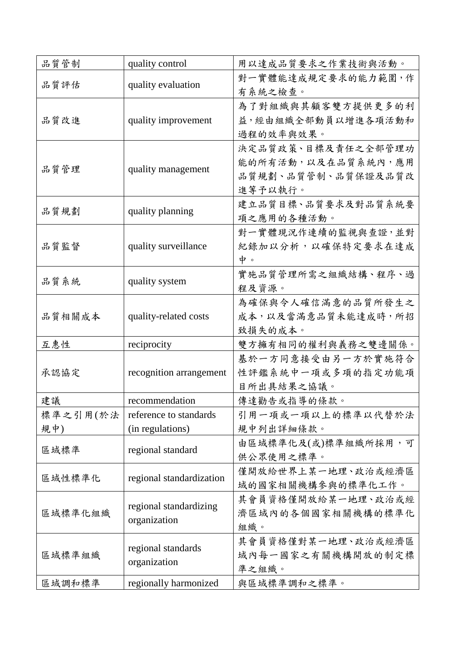| 品質管制            | quality control                            | 用以達成品質要求之作業技術與活動。                                                         |
|-----------------|--------------------------------------------|---------------------------------------------------------------------------|
| 品質評估            | quality evaluation                         | 對一實體能達成規定要求的能力範圍,作<br>有系統之檢查。                                             |
| 品質改進            | quality improvement                        | 為了對組織與其顧客雙方提供更多的利<br>益,經由組織全部動員以增進各項活動和<br>過程的效率與效果。                      |
| 品質管理            | quality management                         | 決定品質政策、目標及責任之全部管理功<br>能的所有活動,以及在品質系統內,應用<br>品質規劃、品質管制、品質保證及品質改<br>進等予以執行。 |
| 品質規劃            | quality planning                           | 建立品質目標、品質要求及對品質系統要<br>項之應用的各種活動。                                          |
| 品質監督            | quality surveillance                       | 對一實體現況作連續的監視與查證,並對<br>紀錄加以分析,以確保特定要求在達成<br>中。                             |
| 品质系統            | quality system                             | 實施品質管理所需之組織結構、程序、過<br>程及資源。                                               |
| 品質相關成本          | quality-related costs                      | 為確保與令人確信滿意的品質所發生之<br>成本,以及當滿意品質未能達成時,所招<br>致損失的成本。                        |
| 互惠性             | reciprocity                                | 雙方擁有相同的權利與義務之雙邊關係。                                                        |
| 承認協定            | recognition arrangement                    | 基於一方同意接受由另一方於實施符合<br>性評鑑系統中一項或多項的指定功能項<br>目所出具結果之協議。                      |
| 建議              | recommendation                             | 傳達勸告或指導的條款。                                                               |
| 標準之引用(於法<br>規中) | reference to standards<br>(in regulations) | 引用一項或一項以上的標準以代替於法<br>規中列出詳細條款。                                            |
| 區域標準            | regional standard                          | 由區域標準化及(或)標準組織所採用,可<br>供公眾使用之標準。                                          |
| 區域性標準化          | regional standardization                   | 僅開放給世界上某一地理、政治或經濟區<br>域的國家相關機構參與的標準化工作。                                   |
| 區域標準化組織         | regional standardizing<br>organization     | 其會員資格僅開放給某一地理、政治或經<br>濟區域內的各個國家相關機構的標準化<br>組織。                            |
| 區域標準組織          | regional standards<br>organization         | 其會員資格僅對某一地理、政治或經濟區<br>域內每一國家之有關機構開放的制定標<br>準之組織。                          |
| 區域調和標準          | regionally harmonized                      | 與區域標準調和之標準。                                                               |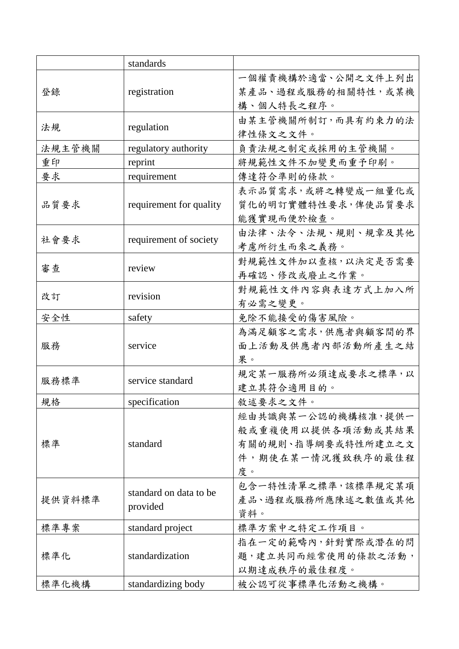|        | standards                          |                                                                                          |
|--------|------------------------------------|------------------------------------------------------------------------------------------|
| 登錄     | registration                       | 一個權責機構於適當、公開之文件上列出<br>某產品、過程或服務的相關特性,或某機<br>構、個人特長之程序。                                   |
| 法規     | regulation                         | 由某主管機關所制訂,而具有約束力的法<br>律性條文之文件。                                                           |
| 法規主管機關 | regulatory authority               | 負責法規之制定或採用的主管機關。                                                                         |
| 重印     | reprint                            | 將規範性文件不加變更而重予印刷。                                                                         |
| 要求     | requirement                        | 傳達符合準則的條款。                                                                               |
| 品质要求   | requirement for quality            | 表示品質需求,或將之轉變成一組量化或<br>質化的明訂實體特性要求, 俾使品質要求<br>能獲實現而便於檢查。                                  |
| 社會要求   | requirement of society             | 由法律、法令、法規、規則、規章及其他<br>考慮所衍生而來之義務。                                                        |
| 審查     | review                             | 對規範性文件加以查核, 以決定是否需要<br>再確認、修改或廢止之作業。                                                     |
| 改訂     | revision                           | 對規範性文件內容與表達方式上加入所<br>有必需之變更。                                                             |
| 安全性    | safety                             | 免除不能接受的傷害風險。                                                                             |
| 服務     | service                            | 為滿足顧客之需求,供應者與顧客間的界<br>面上活動及供應者內部活動所產生之結<br>果。                                            |
| 服務標準   | service standard                   | 規定某一服務所必須達成要求之標準,以<br>建立其符合適用目的。                                                         |
| 規格     | specification                      | 敘述要求之文件。                                                                                 |
| 標準     | standard                           | 經由共識與某一公認的機構核准,提供一<br>般或重複使用以提供各項活動或其結果<br>有關的規則、指導綱要或特性所建立之文<br>件,期使在某一情況獲致秩序的最佳程<br>度。 |
| 提供資料標準 | standard on data to be<br>provided | 包含一特性清單之標準,該標準規定某項<br>產品、過程或服務所應陳述之數值或其他<br>資料。                                          |
| 標準專案   | standard project                   | 標準方案中之特定工作項目。                                                                            |
| 標準化    | standardization                    | 指在一定的範疇內,針對實際或潛在的問<br>題,建立共同而經常使用的條款之活動,<br>以期達成秩序的最佳程度。                                 |
| 標準化機構  | standardizing body                 | 被公認可從事標準化活動之機構。                                                                          |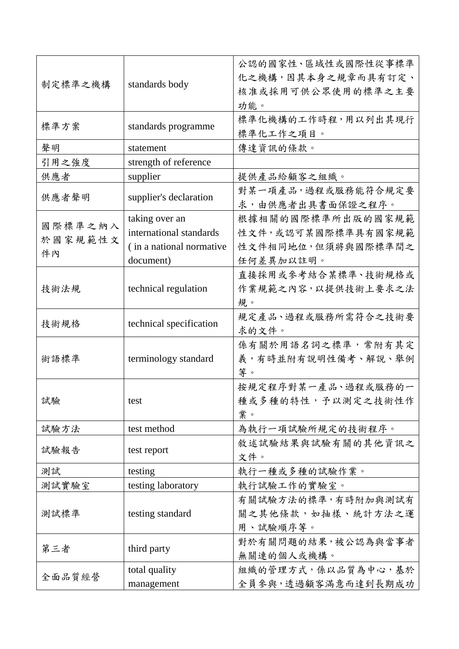| 制定標準之機構 | standards body           | 公認的國家性、區域性或國際性從事標準<br>化之機構,因其本身之規章而具有訂定、<br>核准或採用可供公眾使用的標準之主要<br>功能。 |
|---------|--------------------------|----------------------------------------------------------------------|
| 標準方案    | standards programme      | 標準化機構的工作時程,用以列出其現行<br>標準化工作之項目。                                      |
| 聲明      | statement                | 傳達資訊的條款。                                                             |
| 引用之強度   | strength of reference    |                                                                      |
| 供應者     | supplier                 | 提供產品給顧客之組織。                                                          |
| 供應者聲明   | supplier's declaration   | 對某一項產品, 過程或服務能符合規定要<br>求,由供應者出具書面保證之程序。                              |
|         | taking over an           | 根據相關的國際標準所出版的國家規範                                                    |
| 國際標準之納入 | international standards  | 性文件,或認可某國際標準具有國家規範                                                   |
| 於國家規範性文 | (in a national normative | 性文件相同地位,但須將與國際標準間之                                                   |
| 件内      | document)                | 任何差異加以註明。                                                            |
|         |                          | 直接採用或參考結合某標準、技術規格或                                                   |
| 技術法規    | technical regulation     | 作業規範之內容,以提供技術上要求之法                                                   |
|         |                          | 規。                                                                   |
|         | technical specification  | 規定產品、過程或服務所需符合之技術要                                                   |
| 技術規格    |                          | 求的文件。                                                                |
|         | terminology standard     | 係有關於用語名詞之標準,常附有其定                                                    |
| 術語標準    |                          | 義,有時並附有說明性備考、解說、舉例                                                   |
|         |                          | 等。                                                                   |
|         | test                     | 按規定程序對某一產品、過程或服務的一                                                   |
| 試驗      |                          | 種或多種的特性,予以測定之技術性作                                                    |
|         |                          | 業。                                                                   |
| 試驗方法    | test method              | 為執行一項試驗所規定的技術程序。                                                     |
|         |                          | 敘述試驗結果與試驗有關的其他資訊之                                                    |
| 試驗報告    | test report              | 文件。                                                                  |
| 測試      | testing                  | 執行一種或多種的試驗作業。                                                        |
| 測試實驗室   | testing laboratory       | 執行試驗工作的實驗室。                                                          |
|         |                          | 有關試驗方法的標準,有時附加與測試有                                                   |
| 測試標準    | testing standard         | 關之其他條款,如抽樣、統計方法之運                                                    |
|         |                          | 用、試驗順序等。                                                             |
| 第三者     | third party              | 對於有關問題的結果,被公認為與當事者                                                   |
|         |                          | 無關連的個人或機構。                                                           |
| 全面品質經營  | total quality            | 組織的管理方式, 係以品質為中心, 基於                                                 |
|         | management               | 全員參與,透過顧客滿意而達到長期成功                                                   |